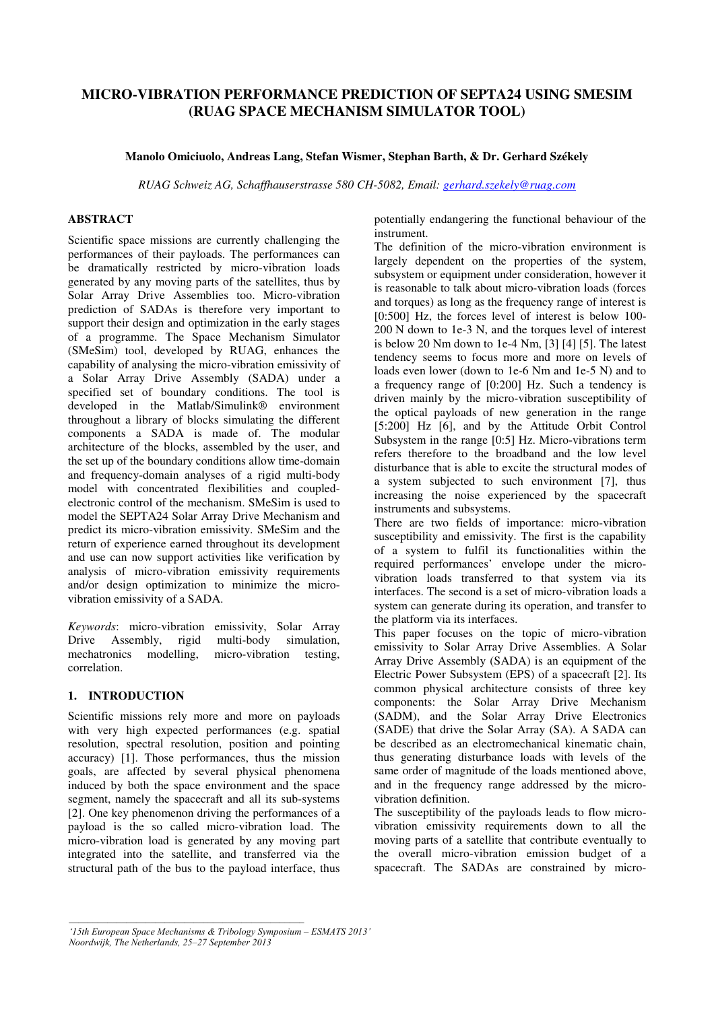# **MICRO-VIBRATION PERFORMANCE PREDICTION OF SEPTA24 USING SMESIM (RUAG SPACE MECHANISM SIMULATOR TOOL)**

## **Manolo Omiciuolo, Andreas Lang, Stefan Wismer, Stephan Barth, & Dr. Gerhard Székely**

*RUAG Schweiz AG, Schaffhauserstrasse 580 CH-5082, Email: gerhard.szekely@ruag.com* 

## **ABSTRACT**

Scientific space missions are currently challenging the performances of their payloads. The performances can be dramatically restricted by micro-vibration loads generated by any moving parts of the satellites, thus by Solar Array Drive Assemblies too. Micro-vibration prediction of SADAs is therefore very important to support their design and optimization in the early stages of a programme. The Space Mechanism Simulator (SMeSim) tool, developed by RUAG, enhances the capability of analysing the micro-vibration emissivity of a Solar Array Drive Assembly (SADA) under a specified set of boundary conditions. The tool is developed in the Matlab/Simulink® environment throughout a library of blocks simulating the different components a SADA is made of. The modular architecture of the blocks, assembled by the user, and the set up of the boundary conditions allow time-domain and frequency-domain analyses of a rigid multi-body model with concentrated flexibilities and coupledelectronic control of the mechanism. SMeSim is used to model the SEPTA24 Solar Array Drive Mechanism and predict its micro-vibration emissivity. SMeSim and the return of experience earned throughout its development and use can now support activities like verification by analysis of micro-vibration emissivity requirements and/or design optimization to minimize the microvibration emissivity of a SADA.

*Keywords*: micro-vibration emissivity, Solar Array Drive Assembly, rigid multi-body simulation, mechatronics modelling, micro-vibration testing, correlation.

# **1. INTRODUCTION**

Scientific missions rely more and more on payloads with very high expected performances (e.g. spatial resolution, spectral resolution, position and pointing accuracy) [1]. Those performances, thus the mission goals, are affected by several physical phenomena induced by both the space environment and the space segment, namely the spacecraft and all its sub-systems [2]. One key phenomenon driving the performances of a payload is the so called micro-vibration load. The micro-vibration load is generated by any moving part integrated into the satellite, and transferred via the structural path of the bus to the payload interface, thus potentially endangering the functional behaviour of the instrument.

The definition of the micro-vibration environment is largely dependent on the properties of the system, subsystem or equipment under consideration, however it is reasonable to talk about micro-vibration loads (forces and torques) as long as the frequency range of interest is [0:500] Hz, the forces level of interest is below 100-200 N down to 1e-3 N, and the torques level of interest is below 20 Nm down to 1e-4 Nm, [3] [4] [5]. The latest tendency seems to focus more and more on levels of loads even lower (down to 1e-6 Nm and 1e-5 N) and to a frequency range of [0:200] Hz. Such a tendency is driven mainly by the micro-vibration susceptibility of the optical payloads of new generation in the range [5:200] Hz [6], and by the Attitude Orbit Control Subsystem in the range [0:5] Hz. Micro-vibrations term refers therefore to the broadband and the low level disturbance that is able to excite the structural modes of a system subjected to such environment [7], thus increasing the noise experienced by the spacecraft instruments and subsystems.

There are two fields of importance: micro-vibration susceptibility and emissivity. The first is the capability of a system to fulfil its functionalities within the required performances' envelope under the microvibration loads transferred to that system via its interfaces. The second is a set of micro-vibration loads a system can generate during its operation, and transfer to the platform via its interfaces.

This paper focuses on the topic of micro-vibration emissivity to Solar Array Drive Assemblies. A Solar Array Drive Assembly (SADA) is an equipment of the Electric Power Subsystem (EPS) of a spacecraft [2]. Its common physical architecture consists of three key components: the Solar Array Drive Mechanism (SADM), and the Solar Array Drive Electronics (SADE) that drive the Solar Array (SA). A SADA can be described as an electromechanical kinematic chain, thus generating disturbance loads with levels of the same order of magnitude of the loads mentioned above, and in the frequency range addressed by the microvibration definition.

The susceptibility of the payloads leads to flow microvibration emissivity requirements down to all the moving parts of a satellite that contribute eventually to the overall micro-vibration emission budget of a spacecraft. The SADAs are constrained by micro-

*<sup>&#</sup>x27;15th European Space Mechanisms & Tribology Symposium – ESMATS 2013' Noordwijk, The Netherlands, 25–27 September 2013*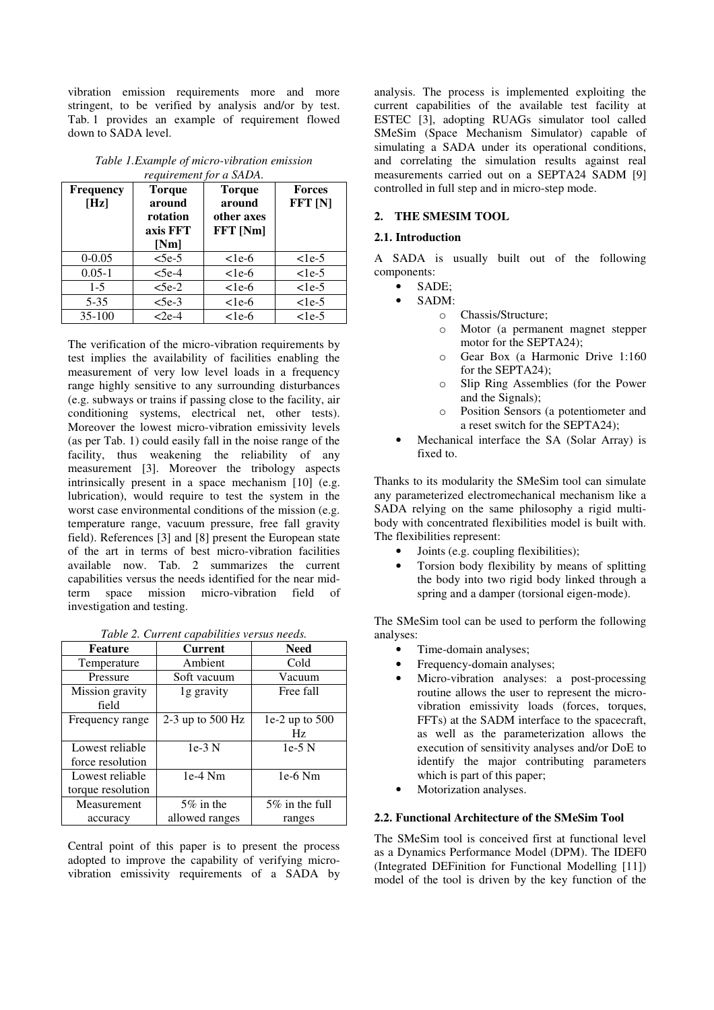vibration emission requirements more and more stringent, to be verified by analysis and/or by test. Tab. 1 provides an example of requirement flowed down to SADA level.

*Table 1.Example of micro-vibration emission requirement for a SADA.* 

| <b>Frequency</b><br>[Hz] | <b>Torque</b><br>around<br>rotation<br>axis FFT<br>[Nm] | <b>Torque</b><br>around<br>other axes<br><b>FFT</b> [Nm] | <b>Forces</b><br>FFT <sub>[N]</sub> |
|--------------------------|---------------------------------------------------------|----------------------------------------------------------|-------------------------------------|
| $0 - 0.05$               | $<5e-5$                                                 | $<$ 1e-6                                                 | $<$ 1e-5                            |
| $0.05 - 1$               | $<$ 5e-4                                                | $<$ 1e-6                                                 | $<$ 1e-5                            |
| $1-5$                    | $<5e-2$                                                 | $<$ 1e-6                                                 | $<$ 1e-5                            |
| $5 - 35$                 | $5e-3$                                                  | $<$ 1e-6                                                 | $<$ 1e-5                            |
| 35-100                   | $<$ 2e-4                                                | $<$ 1e-6                                                 | $<$ 1e-5                            |

The verification of the micro-vibration requirements by test implies the availability of facilities enabling the measurement of very low level loads in a frequency range highly sensitive to any surrounding disturbances (e.g. subways or trains if passing close to the facility, air conditioning systems, electrical net, other tests). Moreover the lowest micro-vibration emissivity levels (as per Tab. 1) could easily fall in the noise range of the facility, thus weakening the reliability of any measurement [3]. Moreover the tribology aspects intrinsically present in a space mechanism [10] (e.g. lubrication), would require to test the system in the worst case environmental conditions of the mission (e.g. temperature range, vacuum pressure, free fall gravity field). References [3] and [8] present the European state of the art in terms of best micro-vibration facilities available now. Tab. 2 summarizes the current capabilities versus the needs identified for the near midterm space mission micro-vibration field of investigation and testing.

|  |  |  | Table 2. Current capabilities versus needs. |
|--|--|--|---------------------------------------------|
|--|--|--|---------------------------------------------|

| <b>Feature</b>                       | <b>Current</b>     | Need                     |  |  |
|--------------------------------------|--------------------|--------------------------|--|--|
| Temperature                          | Ambient            | Cold                     |  |  |
| Pressure                             | Soft vacuum        | Vacuum                   |  |  |
| Mission gravity<br>field             | 1g gravity         | Free fall                |  |  |
| Frequency range                      | 2-3 up to $500$ Hz | $1e-2$ up to $500$<br>Hz |  |  |
| Lowest reliable<br>force resolution  | $1e-3$ N           | $1e-5$ N                 |  |  |
| Lowest reliable<br>torque resolution | $1e-4$ Nm          | $1e-6$ Nm                |  |  |
| Measurement                          | 5% in the          | 5% in the full           |  |  |
| accuracy                             | allowed ranges     | ranges                   |  |  |

Central point of this paper is to present the process adopted to improve the capability of verifying microvibration emissivity requirements of a SADA by

analysis. The process is implemented exploiting the current capabilities of the available test facility at ESTEC [3], adopting RUAGs simulator tool called SMeSim (Space Mechanism Simulator) capable of simulating a SADA under its operational conditions, and correlating the simulation results against real measurements carried out on a SEPTA24 SADM [9] controlled in full step and in micro-step mode.

# **2. THE SMESIM TOOL**

#### **2.1. Introduction**

A SADA is usually built out of the following components:

- SADE;
- $SADM$ 
	- o Chassis/Structure;
	- Motor (a permanent magnet stepper motor for the SEPTA24);
	- o Gear Box (a Harmonic Drive 1:160 for the SEPTA24);
	- o Slip Ring Assemblies (for the Power and the Signals);
	- o Position Sensors (a potentiometer and a reset switch for the SEPTA24);
- Mechanical interface the SA (Solar Array) is fixed to.

Thanks to its modularity the SMeSim tool can simulate any parameterized electromechanical mechanism like a SADA relying on the same philosophy a rigid multibody with concentrated flexibilities model is built with. The flexibilities represent:

- Joints (e.g. coupling flexibilities);
- Torsion body flexibility by means of splitting the body into two rigid body linked through a spring and a damper (torsional eigen-mode).

The SMeSim tool can be used to perform the following analyses:

- Time-domain analyses;
- Frequency-domain analyses;
- Micro-vibration analyses: a post-processing routine allows the user to represent the microvibration emissivity loads (forces, torques, FFTs) at the SADM interface to the spacecraft, as well as the parameterization allows the execution of sensitivity analyses and/or DoE to identify the major contributing parameters which is part of this paper;
- Motorization analyses.

#### **2.2. Functional Architecture of the SMeSim Tool**

The SMeSim tool is conceived first at functional level as a Dynamics Performance Model (DPM). The IDEF0 (Integrated DEFinition for Functional Modelling [11]) model of the tool is driven by the key function of the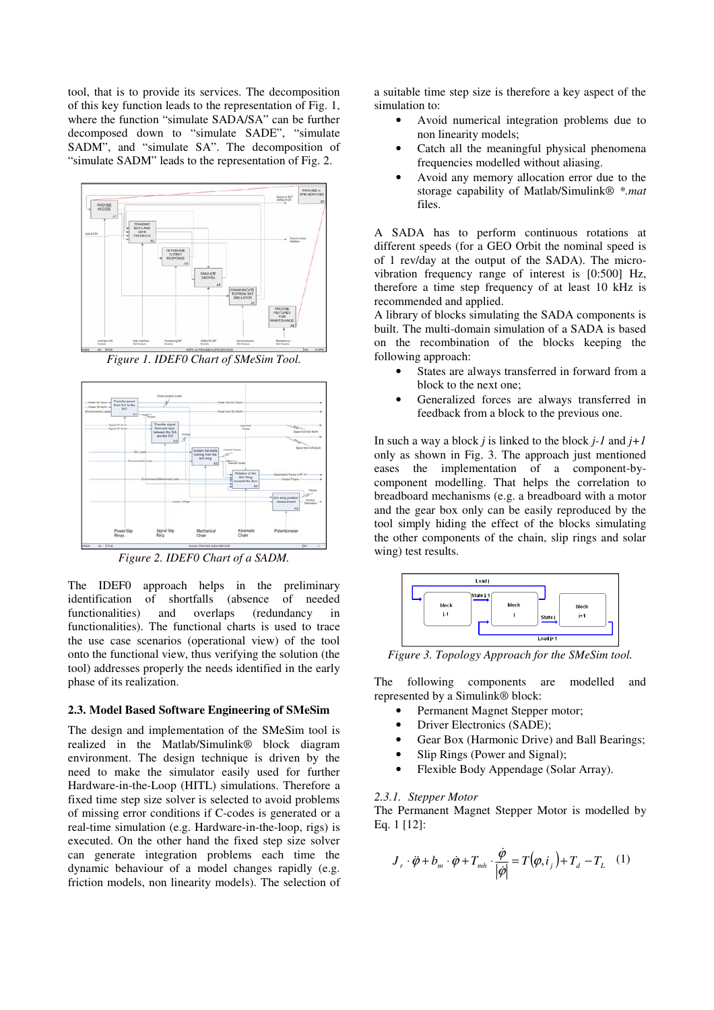tool, that is to provide its services. The decomposition of this key function leads to the representation of Fig. 1, where the function "simulate SADA/SA" can be further decomposed down to "simulate SADE", "simulate SADM", and "simulate SA". The decomposition of "simulate SADM" leads to the representation of Fig. 2.



*Figure 1. IDEF0 Chart of SMeSim Tool.* 



*Figure 2. IDEF0 Chart of a SADM.* 

The IDEF0 approach helps in the preliminary identification of shortfalls (absence of needed functionalities) and overlaps (redundancy in functionalities). The functional charts is used to trace the use case scenarios (operational view) of the tool onto the functional view, thus verifying the solution (the tool) addresses properly the needs identified in the early phase of its realization.

### **2.3. Model Based Software Engineering of SMeSim**

The design and implementation of the SMeSim tool is realized in the Matlab/Simulink® block diagram environment. The design technique is driven by the need to make the simulator easily used for further Hardware-in-the-Loop (HITL) simulations. Therefore a fixed time step size solver is selected to avoid problems of missing error conditions if C-codes is generated or a real-time simulation (e.g. Hardware-in-the-loop, rigs) is executed. On the other hand the fixed step size solver can generate integration problems each time the dynamic behaviour of a model changes rapidly (e.g. friction models, non linearity models). The selection of a suitable time step size is therefore a key aspect of the simulation to:

- Avoid numerical integration problems due to non linearity models;
- Catch all the meaningful physical phenomena frequencies modelled without aliasing.
- Avoid any memory allocation error due to the storage capability of Matlab/Simulink® *\*.mat* files.

A SADA has to perform continuous rotations at different speeds (for a GEO Orbit the nominal speed is of 1 rev/day at the output of the SADA). The microvibration frequency range of interest is [0:500] Hz, therefore a time step frequency of at least 10 kHz is recommended and applied.

A library of blocks simulating the SADA components is built. The multi-domain simulation of a SADA is based on the recombination of the blocks keeping the following approach:

- States are always transferred in forward from a block to the next one;
- Generalized forces are always transferred in feedback from a block to the previous one.

In such a way a block *j* is linked to the block *j-1* and *j+1* only as shown in Fig. 3. The approach just mentioned eases the implementation of a component-bycomponent modelling. That helps the correlation to breadboard mechanisms (e.g. a breadboard with a motor and the gear box only can be easily reproduced by the tool simply hiding the effect of the blocks simulating the other components of the chain, slip rings and solar wing) test results.



*Figure 3. Topology Approach for the SMeSim tool.* 

The following components are modelled and represented by a Simulink® block:

- Permanent Magnet Stepper motor:
- Driver Electronics (SADE);
- Gear Box (Harmonic Drive) and Ball Bearings;
- Slip Rings (Power and Signal);
- Flexible Body Appendage (Solar Array).

### *2.3.1. Stepper Motor*

The Permanent Magnet Stepper Motor is modelled by Eq. 1 [12]:

$$
J_r \cdot \ddot{\boldsymbol{\varphi}} + b_m \cdot \dot{\boldsymbol{\varphi}} + T_{mh} \cdot \frac{\dot{\boldsymbol{\varphi}}}{|\dot{\boldsymbol{\varphi}}|} = T(\boldsymbol{\varphi}, i_j) + T_d - T_L \quad (1)
$$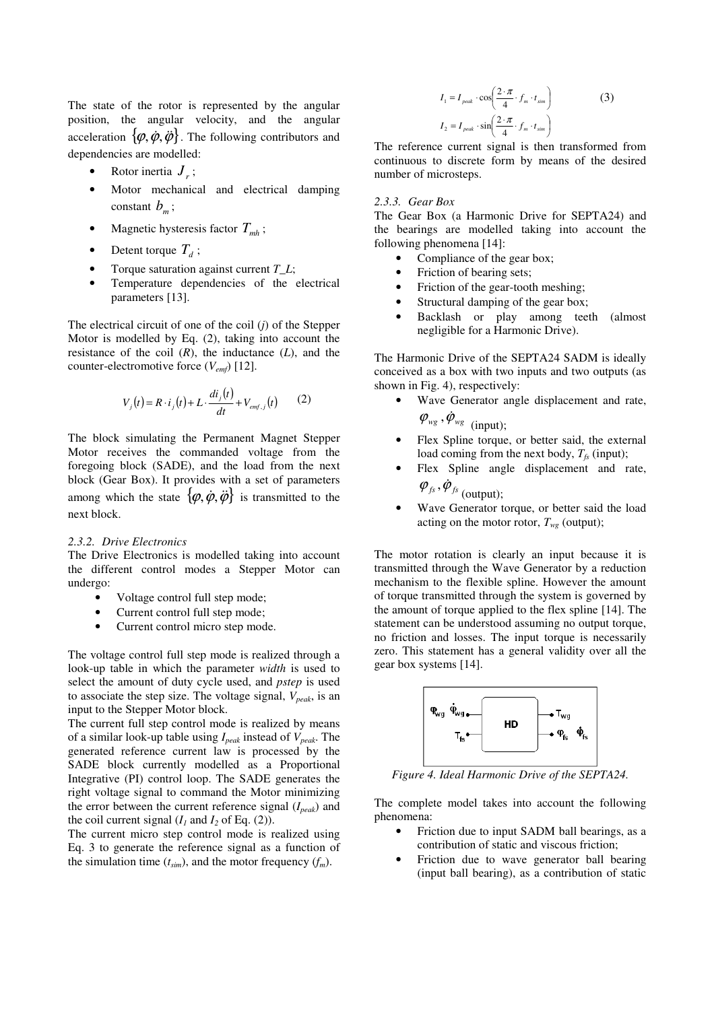The state of the rotor is represented by the angular position, the angular velocity, and the angular acceleration  $\{\varphi, \dot{\varphi}, \ddot{\varphi}\}\)$ . The following contributors and dependencies are modelled:

- Rotor inertia  $J_r$ ;
- Motor mechanical and electrical damping constant  $b<sub>m</sub>$ ;
- Magnetic hysteresis factor  $T_{mh}$ ;
- Detent torque  $T_d$ ;
- Torque saturation against current *T\_L*;
- Temperature dependencies of the electrical parameters [13].

The electrical circuit of one of the coil (*j*) of the Stepper Motor is modelled by Eq. (2), taking into account the resistance of the coil  $(R)$ , the inductance  $(L)$ , and the counter-electromotive force (*Vemf*) [12].

$$
V_j(t) = R \cdot i_j(t) + L \cdot \frac{di_j(t)}{dt} + V_{emf,j}(t) \qquad (2)
$$

The block simulating the Permanent Magnet Stepper Motor receives the commanded voltage from the foregoing block (SADE), and the load from the next block (Gear Box). It provides with a set of parameters among which the state  $\{\varphi, \dot{\varphi}, \ddot{\varphi}\}\)$  is transmitted to the next block.

#### *2.3.2. Drive Electronics*

The Drive Electronics is modelled taking into account the different control modes a Stepper Motor can undergo:

- Voltage control full step mode;
- Current control full step mode;
- Current control micro step mode.

The voltage control full step mode is realized through a look-up table in which the parameter *width* is used to select the amount of duty cycle used, and *pstep* is used to associate the step size. The voltage signal, *Vpeak*, is an input to the Stepper Motor block.

The current full step control mode is realized by means of a similar look-up table using *Ipeak* instead of *Vpeak*. The generated reference current law is processed by the SADE block currently modelled as a Proportional Integrative (PI) control loop. The SADE generates the right voltage signal to command the Motor minimizing the error between the current reference signal (*Ipeak*) and the coil current signal  $(I_1 \text{ and } I_2 \text{ of Eq. (2)}).$ 

The current micro step control mode is realized using Eq. 3 to generate the reference signal as a function of the simulation time  $(t_{sim})$ , and the motor frequency  $(f_m)$ .

$$
I_1 = I_{peak} \cdot \cos\left(\frac{2 \cdot \pi}{4} \cdot f_m \cdot t_{sim}\right)
$$
 (3)  

$$
I_2 = I_{peak} \cdot \sin\left(\frac{2 \cdot \pi}{4} \cdot f_m \cdot t_{sim}\right)
$$

The reference current signal is then transformed from continuous to discrete form by means of the desired number of microsteps.

#### *2.3.3. Gear Box*

The Gear Box (a Harmonic Drive for SEPTA24) and the bearings are modelled taking into account the following phenomena [14]:

- Compliance of the gear box;
- Friction of bearing sets;
- Friction of the gear-tooth meshing;
- Structural damping of the gear box;
- Backlash or play among teeth (almost negligible for a Harmonic Drive).

The Harmonic Drive of the SEPTA24 SADM is ideally conceived as a box with two inputs and two outputs (as shown in Fig. 4), respectively:

- Wave Generator angle displacement and rate,  $\varphi_{\scriptscriptstyle wg}$ ,  $\dot{\varphi}_{\scriptscriptstyle wg}$  (input);
- Flex Spline torque, or better said, the external load coming from the next body,  $T_f$ <sub>s</sub> (input);
- Flex Spline angle displacement and rate,  $\varphi_{fs}, \dot{\varphi}_{fs}$ <sub>(output);</sub>

• Wave Generator torque, or better said the load acting on the motor rotor,  $T_{wg}$  (output);

The motor rotation is clearly an input because it is transmitted through the Wave Generator by a reduction mechanism to the flexible spline. However the amount of torque transmitted through the system is governed by the amount of torque applied to the flex spline [14]. The statement can be understood assuming no output torque, no friction and losses. The input torque is necessarily zero. This statement has a general validity over all the gear box systems [14].



*Figure 4. Ideal Harmonic Drive of the SEPTA24.* 

The complete model takes into account the following phenomena:

- Friction due to input SADM ball bearings, as a contribution of static and viscous friction;
- Friction due to wave generator ball bearing (input ball bearing), as a contribution of static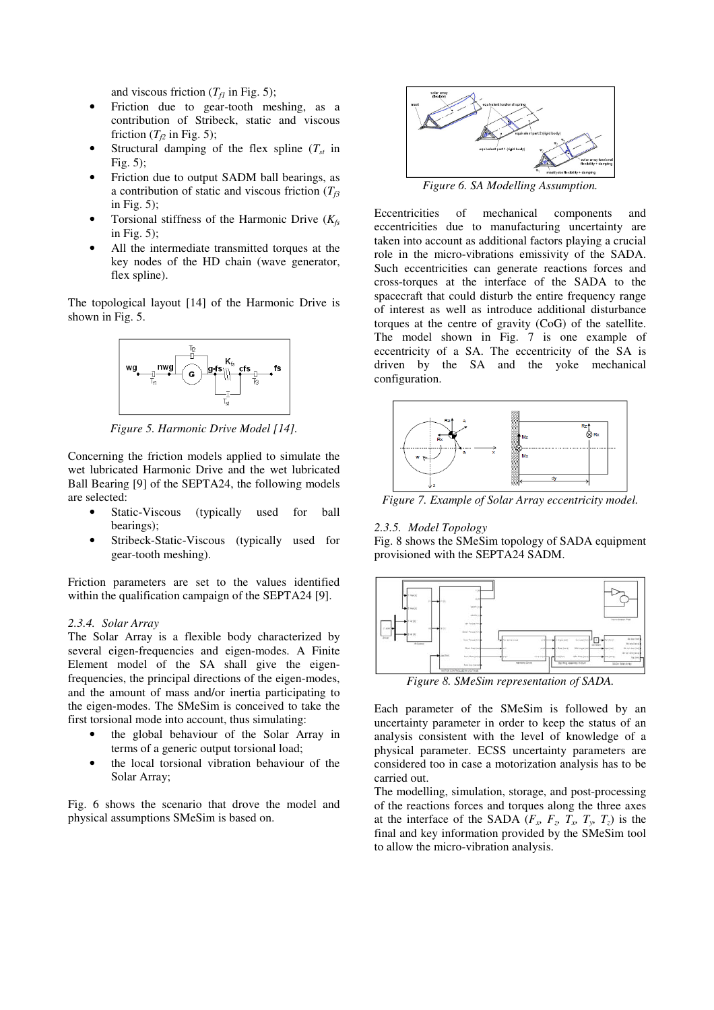and viscous friction  $(T_f_1$  in Fig. 5);

- Friction due to gear-tooth meshing, as a contribution of Stribeck, static and viscous friction ( $T_{f2}$  in Fig. 5);
- Structural damping of the flex spline (*Tst* in Fig. 5);
- Friction due to output SADM ball bearings, as a contribution of static and viscous friction (*Tf3* in Fig. 5);
- Torsional stiffness of the Harmonic Drive (*Kfs* in Fig. 5);
- All the intermediate transmitted torques at the key nodes of the HD chain (wave generator, flex spline).

The topological layout [14] of the Harmonic Drive is shown in Fig. 5.



*Figure 5. Harmonic Drive Model [14].* 

Concerning the friction models applied to simulate the wet lubricated Harmonic Drive and the wet lubricated Ball Bearing [9] of the SEPTA24, the following models are selected:

- Static-Viscous (typically used for ball bearings);
- Stribeck-Static-Viscous (typically used for gear-tooth meshing).

Friction parameters are set to the values identified within the qualification campaign of the SEPTA24 [9].

### *2.3.4. Solar Array*

The Solar Array is a flexible body characterized by several eigen-frequencies and eigen-modes. A Finite Element model of the SA shall give the eigenfrequencies, the principal directions of the eigen-modes, and the amount of mass and/or inertia participating to the eigen-modes. The SMeSim is conceived to take the first torsional mode into account, thus simulating:

- the global behaviour of the Solar Array in terms of a generic output torsional load;
- the local torsional vibration behaviour of the Solar Array;

Fig. 6 shows the scenario that drove the model and physical assumptions SMeSim is based on.



*Figure 6. SA Modelling Assumption.* 

Eccentricities of mechanical components and eccentricities due to manufacturing uncertainty are taken into account as additional factors playing a crucial role in the micro-vibrations emissivity of the SADA. Such eccentricities can generate reactions forces and cross-torques at the interface of the SADA to the spacecraft that could disturb the entire frequency range of interest as well as introduce additional disturbance torques at the centre of gravity (CoG) of the satellite. The model shown in Fig. 7 is one example of eccentricity of a SA. The eccentricity of the SA is driven by the SA and the yoke mechanical configuration.



*Figure 7. Example of Solar Array eccentricity model.* 

#### *2.3.5. Model Topology*

Fig. 8 shows the SMeSim topology of SADA equipment provisioned with the SEPTA24 SADM.



*Figure 8. SMeSim representation of SADA.* 

Each parameter of the SMeSim is followed by an uncertainty parameter in order to keep the status of an analysis consistent with the level of knowledge of a physical parameter. ECSS uncertainty parameters are considered too in case a motorization analysis has to be carried out.

The modelling, simulation, storage, and post-processing of the reactions forces and torques along the three axes at the interface of the SADA  $(F_x, F_y, T_x, T_y, T_z)$  is the final and key information provided by the SMeSim tool to allow the micro-vibration analysis.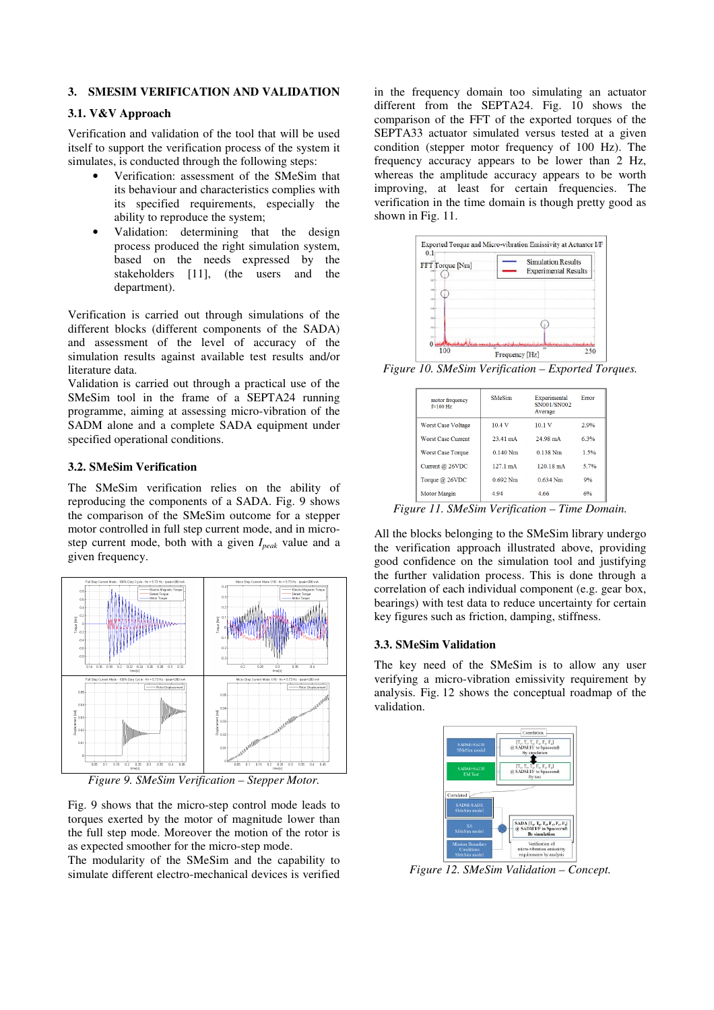### **3. SMESIM VERIFICATION AND VALIDATION**

## **3.1. V&V Approach**

Verification and validation of the tool that will be used itself to support the verification process of the system it simulates, is conducted through the following steps:

- Verification: assessment of the SMeSim that its behaviour and characteristics complies with its specified requirements, especially the ability to reproduce the system;
- Validation: determining that the design process produced the right simulation system, based on the needs expressed by the stakeholders [11], (the users and the department).

Verification is carried out through simulations of the different blocks (different components of the SADA) and assessment of the level of accuracy of the simulation results against available test results and/or literature data.

Validation is carried out through a practical use of the SMeSim tool in the frame of a SEPTA24 running programme, aiming at assessing micro-vibration of the SADM alone and a complete SADA equipment under specified operational conditions.

### **3.2. SMeSim Verification**

The SMeSim verification relies on the ability of reproducing the components of a SADA. Fig. 9 shows the comparison of the SMeSim outcome for a stepper motor controlled in full step current mode, and in microstep current mode, both with a given *Ipeak* value and a given frequency.



*Figure 9. SMeSim Verification – Stepper Motor.* 

Fig. 9 shows that the micro-step control mode leads to torques exerted by the motor of magnitude lower than the full step mode. Moreover the motion of the rotor is as expected smoother for the micro-step mode.

The modularity of the SMeSim and the capability to simulate different electro-mechanical devices is verified in the frequency domain too simulating an actuator different from the SEPTA24. Fig. 10 shows the comparison of the FFT of the exported torques of the SEPTA33 actuator simulated versus tested at a given condition (stepper motor frequency of 100 Hz). The frequency accuracy appears to be lower than 2 Hz, whereas the amplitude accuracy appears to be worth improving, at least for certain frequencies. The verification in the time domain is though pretty good as shown in Fig. 11.



*Figure 10. SMeSim Verification – Exported Torques.* 

| motor frequency<br>$f=100$ Hz | <b>SMeSim</b>      | Experimental<br>SN001/SN002<br>Average | Error |
|-------------------------------|--------------------|----------------------------------------|-------|
| <b>Worst Case Voltage</b>     | 10.4V              | 10.1V                                  | 2.9%  |
| <b>Worst Case Current</b>     | $23.41 \text{ mA}$ | 24.98 mA                               | 6.3%  |
| <b>Worst Case Torque</b>      | $0.140$ Nm         | $0.138$ Nm                             | 1.5%  |
| Current @ 26VDC               | $127.1 \text{ mA}$ | $120.18 \text{ mA}$                    | 5.7%  |
| Torque @ 26VDC                | $0.692$ Nm         | $0.634$ Nm                             | 9%    |
| <b>Motor Margin</b>           | 4.94               | 4.66                                   | 6%    |

*Figure 11. SMeSim Verification – Time Domain.* 

All the blocks belonging to the SMeSim library undergo the verification approach illustrated above, providing good confidence on the simulation tool and justifying the further validation process. This is done through a correlation of each individual component (e.g. gear box, bearings) with test data to reduce uncertainty for certain key figures such as friction, damping, stiffness.

### **3.3. SMeSim Validation**

The key need of the SMeSim is to allow any user verifying a micro-vibration emissivity requirement by analysis. Fig. 12 shows the conceptual roadmap of the validation.



*Figure 12. SMeSim Validation – Concept.*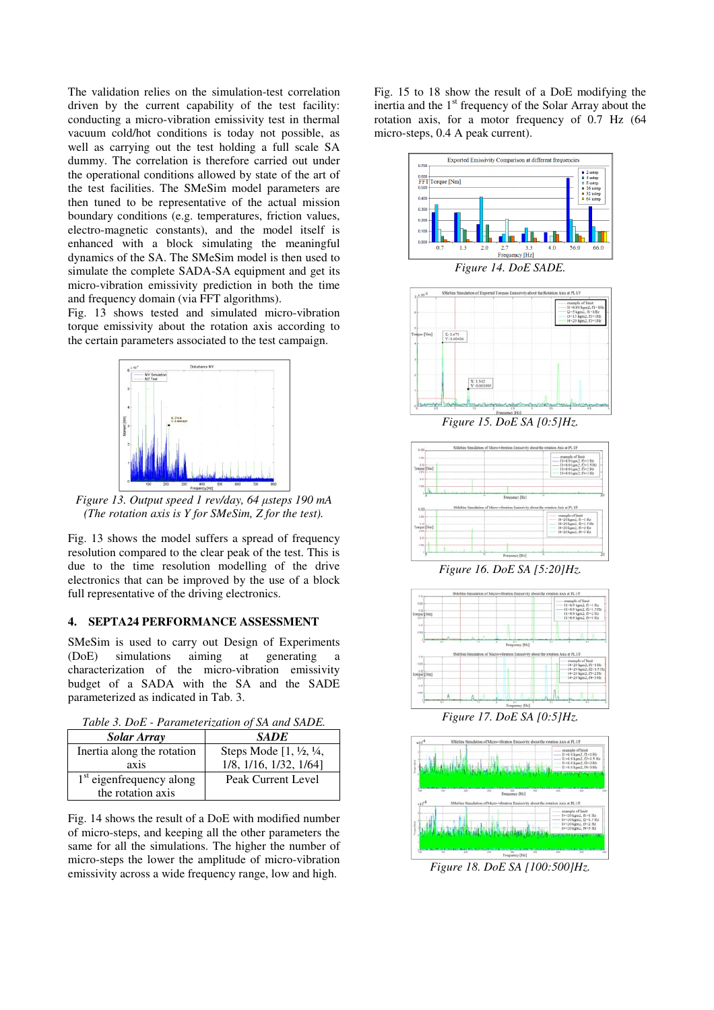The validation relies on the simulation-test correlation driven by the current capability of the test facility: conducting a micro-vibration emissivity test in thermal vacuum cold/hot conditions is today not possible, as well as carrying out the test holding a full scale SA dummy. The correlation is therefore carried out under the operational conditions allowed by state of the art of the test facilities. The SMeSim model parameters are then tuned to be representative of the actual mission boundary conditions (e.g. temperatures, friction values, electro-magnetic constants), and the model itself is enhanced with a block simulating the meaningful dynamics of the SA. The SMeSim model is then used to simulate the complete SADA-SA equipment and get its micro-vibration emissivity prediction in both the time and frequency domain (via FFT algorithms).

Fig. 13 shows tested and simulated micro-vibration torque emissivity about the rotation axis according to the certain parameters associated to the test campaign.



*Figure 13. Output speed 1 rev/day, 64 µsteps 190 mA (The rotation axis is Y for SMeSim, Z for the test).* 

Fig. 13 shows the model suffers a spread of frequency resolution compared to the clear peak of the test. This is due to the time resolution modelling of the drive electronics that can be improved by the use of a block full representative of the driving electronics.

## **4. SEPTA24 PERFORMANCE ASSESSMENT**

SMeSim is used to carry out Design of Experiments (DoE) simulations aiming at generating a characterization of the micro-vibration emissivity budget of a SADA with the SA and the SADE parameterized as indicated in Tab. 3.

|  |  | Table 3. DoE - Parameterization of SA and SADE. |
|--|--|-------------------------------------------------|
|  |  |                                                 |

| <b>Solar Array</b>         | <b>SADE</b>                                |  |
|----------------------------|--------------------------------------------|--|
| Inertia along the rotation | Steps Mode $[1, \frac{1}{2}, \frac{1}{4},$ |  |
| axis                       | 1/8, 1/16, 1/32, 1/64]                     |  |
| $1st$ eigenfrequency along | Peak Current Level                         |  |
| the rotation axis          |                                            |  |

Fig. 14 shows the result of a DoE with modified number of micro-steps, and keeping all the other parameters the same for all the simulations. The higher the number of micro-steps the lower the amplitude of micro-vibration emissivity across a wide frequency range, low and high.

Fig. 15 to 18 show the result of a DoE modifying the inertia and the  $1<sup>st</sup>$  frequency of the Solar Array about the rotation axis, for a motor frequency of 0.7 Hz (64 micro-steps, 0.4 A peak current).





*Figure 16. DoE SA [5:20]Hz.* 



*Figure 17. DoE SA [0:5]Hz.* 



*Figure 18. DoE SA [100:500]Hz.*